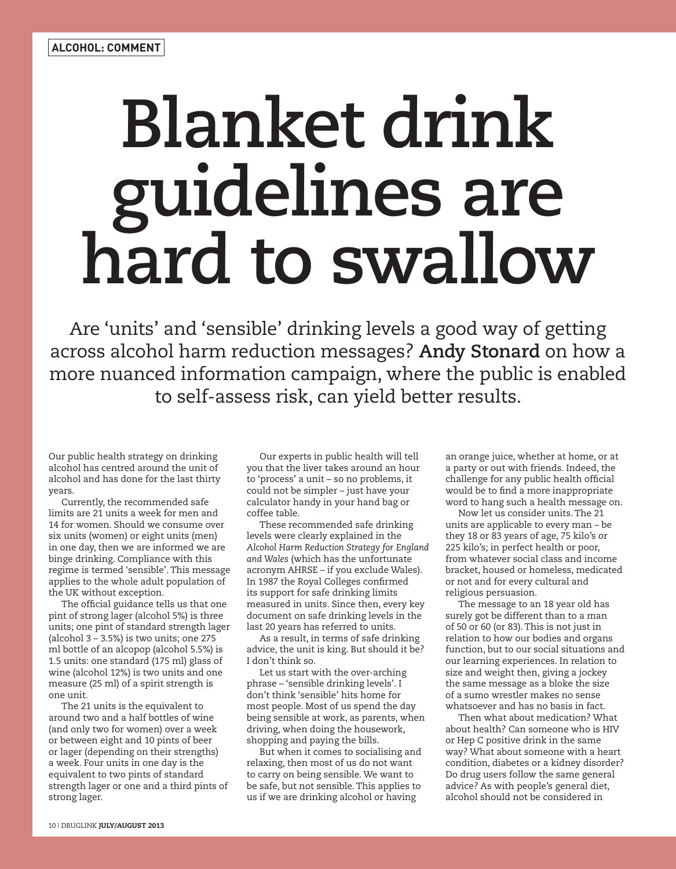## **Blanket drink guidelines are hard to swallow**

Are 'units' and 'sensible' drinking levels a good way of getting across alcohol harm reduction messages? **Andy Stonard** on how a more nuanced information campaign, where the public is enabled to self-assess risk, can yield better results.

Our public health strategy on drinking alcohol has centred around the unit of alcohol and has done for the last thirty years.

Currently, the recommended safe limits are 21 units a week for men and 14 for women. Should we consume over six units (women) or eight units (men) in one day, then we are informed we are binge drinking. Compliance with this regime is termed 'sensible'. This message applies to the whole adult population of the UK without exception.

The official guidance tells us that one pint of strong lager (alcohol 5%) is three units; one pint of standard strength lager (alcohol 3 – 3.5%) is two units; one 275 ml bottle of an alcopop (alcohol 5.5%) is 1.5 units: one standard (175 ml) glass of wine (alcohol 12%) is two units and one measure (25 ml) of a spirit strength is one unit.

The 21 units is the equivalent to around two and a half bottles of wine (and only two for women) over a week or between eight and 10 pints of beer or lager (depending on their strengths) a week. Four units in one day is the equivalent to two pints of standard strength lager or one and a third pints of strong lager.

Our experts in public health will tell you that the liver takes around an hour to 'process' a unit – so no problems, it could not be simpler – just have your calculator handy in your hand bag or coffee table.

These recommended safe drinking levels were clearly explained in the *Alcohol Harm Reduction Strategy for England and Wales* (which has the unfortunate acronym AHRSE – if you exclude Wales). In 1987 the Royal Colleges confirmed its support for safe drinking limits measured in units. Since then, every key document on safe drinking levels in the last 20 years has referred to units.

As a result, in terms of safe drinking advice, the unit is king. But should it be? I don't think so.

Let us start with the over-arching phrase – 'sensible drinking levels'. I don't think 'sensible' hits home for most people. Most of us spend the day being sensible at work, as parents, when driving, when doing the housework, shopping and paying the bills.

But when it comes to socialising and relaxing, then most of us do not want to carry on being sensible. We want to be safe, but not sensible. This applies to us if we are drinking alcohol or having

an orange juice, whether at home, or at a party or out with friends. Indeed, the challenge for any public health official would be to find a more inappropriate word to hang such a health message on.

Now let us consider units. The 21 units are applicable to every man – be they 18 or 83 years of age, 75 kilo's or 225 kilo's; in perfect health or poor, from whatever social class and income bracket, housed or homeless, medicated or not and for every cultural and religious persuasion.

The message to an 18 year old has surely got be different than to a man of 50 or 60 (or 83). This is not just in relation to how our bodies and organs function, but to our social situations and our learning experiences. In relation to size and weight then, giving a jockey the same message as a bloke the size of a sumo wrestler makes no sense whatsoever and has no basis in fact.

Then what about medication? What about health? Can someone who is HIV or Hep C positive drink in the same way? What about someone with a heart condition, diabetes or a kidney disorder? Do drug users follow the same general advice? As with people's general diet, alcohol should not be considered in